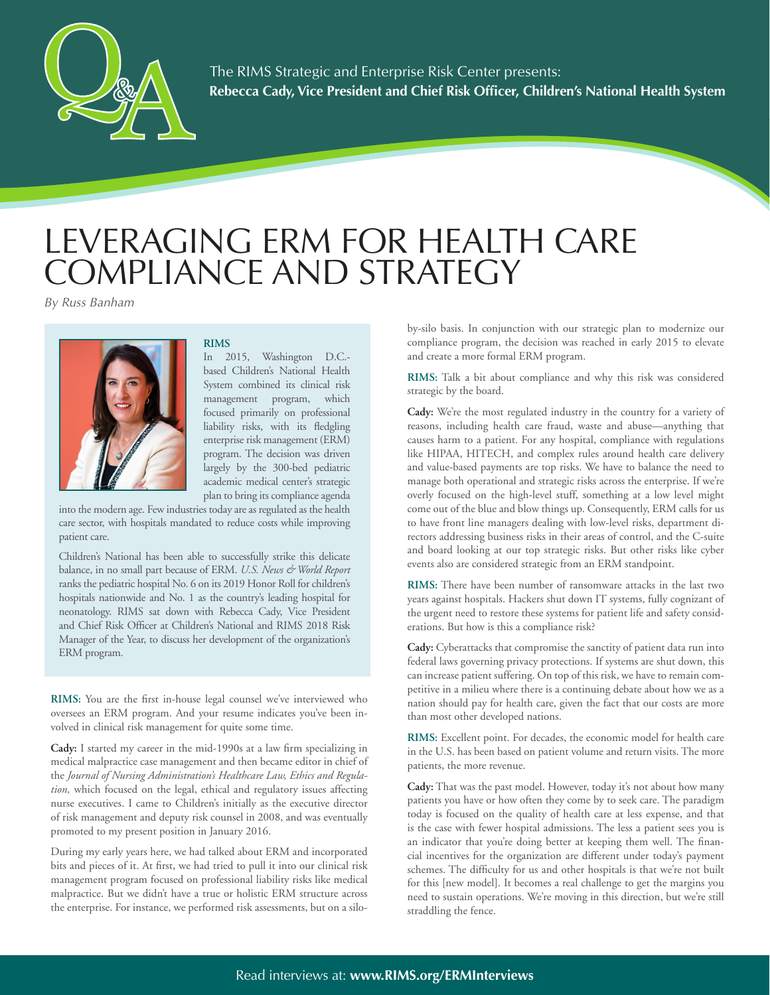

# LEVERAGING ERM FOR HEALTH CARE COMPLIANCE AND STRATEGY

*By Russ Banham*



# **RIMS**

In 2015, Washington D.C. based Children's National Health System combined its clinical risk management program, which focused primarily on professional liability risks, with its fledgling enterprise risk management (ERM) program. The decision was driven largely by the 300-bed pediatric academic medical center's strategic plan to bring its compliance agenda

into the modern age. Few industries today are as regulated as the health care sector, with hospitals mandated to reduce costs while improving patient care.

Children's National has been able to successfully strike this delicate balance, in no small part because of ERM. *U.S. News & World Report*  ranks the pediatric hospital No. 6 on its 2019 Honor Roll for children's hospitals nationwide and No. 1 as the country's leading hospital for neonatology. RIMS sat down with Rebecca Cady, Vice President and Chief Risk Officer at Children's National and RIMS 2018 Risk Manager of the Year, to discuss her development of the organization's ERM program.

**RIMS:** You are the first in-house legal counsel we've interviewed who oversees an ERM program. And your resume indicates you've been involved in clinical risk management for quite some time.

**Cady:** I started my career in the mid-1990s at a law firm specializing in medical malpractice case management and then became editor in chief of the *Journal of Nursing Administration's Healthcare Law, Ethics and Regulation,* which focused on the legal, ethical and regulatory issues affecting nurse executives. I came to Children's initially as the executive director of risk management and deputy risk counsel in 2008, and was eventually promoted to my present position in January 2016.

During my early years here, we had talked about ERM and incorporated bits and pieces of it. At first, we had tried to pull it into our clinical risk management program focused on professional liability risks like medical malpractice. But we didn't have a true or holistic ERM structure across the enterprise. For instance, we performed risk assessments, but on a siloby-silo basis. In conjunction with our strategic plan to modernize our compliance program, the decision was reached in early 2015 to elevate and create a more formal ERM program.

**RIMS:** Talk a bit about compliance and why this risk was considered strategic by the board.

**Cady:** We're the most regulated industry in the country for a variety of reasons, including health care fraud, waste and abuse—anything that causes harm to a patient. For any hospital, compliance with regulations like HIPAA, HITECH, and complex rules around health care delivery and value-based payments are top risks. We have to balance the need to manage both operational and strategic risks across the enterprise. If we're overly focused on the high-level stuff, something at a low level might come out of the blue and blow things up. Consequently, ERM calls for us to have front line managers dealing with low-level risks, department directors addressing business risks in their areas of control, and the C-suite and board looking at our top strategic risks. But other risks like cyber events also are considered strategic from an ERM standpoint.

**RIMS:** There have been number of ransomware attacks in the last two years against hospitals. Hackers shut down IT systems, fully cognizant of the urgent need to restore these systems for patient life and safety considerations. But how is this a compliance risk?

**Cady:** Cyberattacks that compromise the sanctity of patient data run into federal laws governing privacy protections. If systems are shut down, this can increase patient suffering. On top of this risk, we have to remain competitive in a milieu where there is a continuing debate about how we as a nation should pay for health care, given the fact that our costs are more than most other developed nations.

**RIMS:** Excellent point. For decades, the economic model for health care in the U.S. has been based on patient volume and return visits. The more patients, the more revenue.

**Cady:** That was the past model. However, today it's not about how many patients you have or how often they come by to seek care. The paradigm today is focused on the quality of health care at less expense, and that is the case with fewer hospital admissions. The less a patient sees you is an indicator that you're doing better at keeping them well. The financial incentives for the organization are different under today's payment schemes. The difficulty for us and other hospitals is that we're not built for this [new model]. It becomes a real challenge to get the margins you need to sustain operations. We're moving in this direction, but we're still straddling the fence.